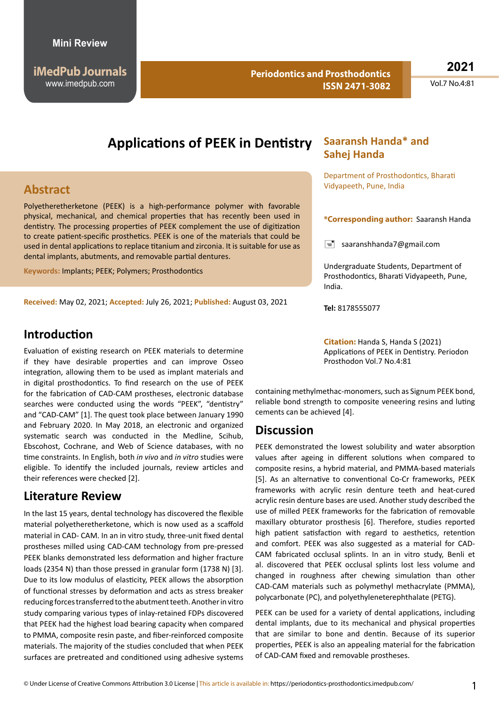**Periodontics and Prosthodontics ISSN 2471-3082**

**2021**

Vol.7 No.4:81

# **Applications of PEEK in Dentistry**

### **Abstract**

Polyetheretherketone (PEEK) is a high-performance polymer with favorable physical, mechanical, and chemical properties that has recently been used in dentistry. The processing properties of PEEK complement the use of digitization to create patient-specific prosthetics. PEEK is one of the materials that could be used in dental applications to replace titanium and zirconia. It is suitable for use as dental implants, abutments, and removable partial dentures.

**Keywords:** Implants; PEEK; Polymers; Prosthodontics

**Received:** May 02, 2021; **Accepted:** July 26, 2021; **Published:** August 03, 2021

#### **Introduction**

Evaluation of existing research on PEEK materials to determine if they have desirable properties and can improve Osseo integration, allowing them to be used as implant materials and in digital prosthodontics. To find research on the use of PEEK for the fabrication of CAD-CAM prostheses, electronic database searches were conducted using the words "PEEK", "dentistry" and "CAD-CAM" [1]. The quest took place between January 1990 and February 2020. In May 2018, an electronic and organized systematic search was conducted in the Medline, Scihub, Ebscohost, Cochrane, and Web of Science databases, with no time constraints. In English, both *in vivo* and *in vitro* studies were eligible. To identify the included journals, review articles and their references were checked [2].

#### **Literature Review**

In the last 15 years, dental technology has discovered the flexible material polyetheretherketone, which is now used as a scaffold material in CAD- CAM. In an in vitro study, three-unit fixed dental prostheses milled using CAD-CAM technology from pre-pressed PEEK blanks demonstrated less deformation and higher fracture loads (2354 N) than those pressed in granular form (1738 N) [3]. Due to its low modulus of elasticity, PEEK allows the absorption of functional stresses by deformation and acts as stress breaker reducing forces transferred to the abutment teeth. Another in vitro study comparing various types of inlay-retained FDPs discovered that PEEK had the highest load bearing capacity when compared to PMMA, composite resin paste, and fiber-reinforced composite materials. The majority of the studies concluded that when PEEK surfaces are pretreated and conditioned using adhesive systems

#### **Saaransh Handa\* and Sahej Handa**

Department of Prosthodontics, Bharati Vidyapeeth, Pune, India

#### **\*Corresponding author:** Saaransh Handa

 $\equiv$  saaranshhanda7@gmail.com

Undergraduate Students, Department of Prosthodontics, Bharati Vidyapeeth, Pune, India.

**Tel:** 8178555077

**Citation:** Handa S, Handa S (2021) Applications of PEEK in Dentistry. Periodon Prosthodon Vol.7 No.4:81

containing methylmethac-monomers, such as Signum PEEK bond, reliable bond strength to composite veneering resins and luting cements can be achieved [4].

### **Discussion**

PEEK demonstrated the lowest solubility and water absorption values after ageing in different solutions when compared to composite resins, a hybrid material, and PMMA-based materials [5]. As an alternative to conventional Co-Cr frameworks, PEEK frameworks with acrylic resin denture teeth and heat-cured acrylic resin denture bases are used. Another study described the use of milled PEEK frameworks for the fabrication of removable maxillary obturator prosthesis [6]. Therefore, studies reported high patient satisfaction with regard to aesthetics, retention and comfort. PEEK was also suggested as a material for CAD-CAM fabricated occlusal splints. In an in vitro study, Benli et al. discovered that PEEK occlusal splints lost less volume and changed in roughness after chewing simulation than other CAD-CAM materials such as polymethyl methacrylate (PMMA), polycarbonate (PC), and polyethyleneterephthalate (PETG).

PEEK can be used for a variety of dental applications, including dental implants, due to its mechanical and physical properties that are similar to bone and dentin. Because of its superior properties, PEEK is also an appealing material for the fabrication of CAD-CAM fixed and removable prostheses.